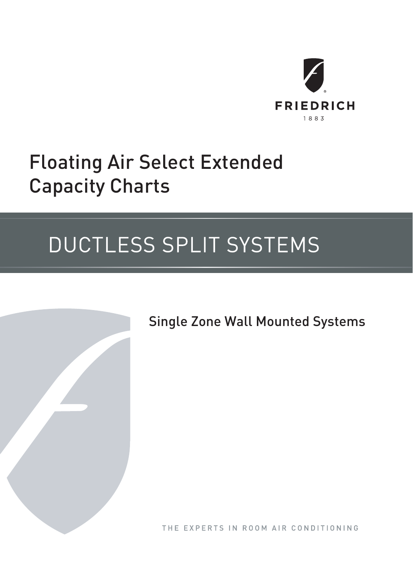

# Floating Air Select Extended Capacity Charts

# DUCTLESS SPLIT SYSTEMS



Single Zone Wall Mounted Systems

THE EXPERTS IN ROOM AIR CONDITIONING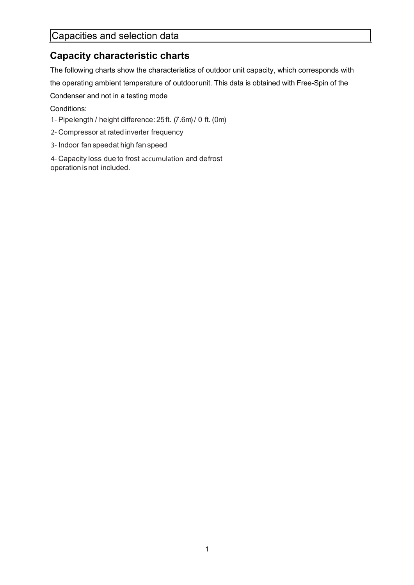# Capacities and selection data

# **Capacity characteristic charts**

The following charts show the characteristics of outdoor unit capacity, which corresponds with the operating ambient temperature of outdoorunit. This data is obtained with Free-Spin of the

Condenser and not in a testing mode

Conditions:

- 1- Pipe length / height difference : 25 ft. (7.6m) / 0 ft. (0m)
- 2- Compressor at rated inverter frequency
- 3- Indoor fan speedat high fan speed

4- Capacity loss due to frost accumulation and defrost operation is not included.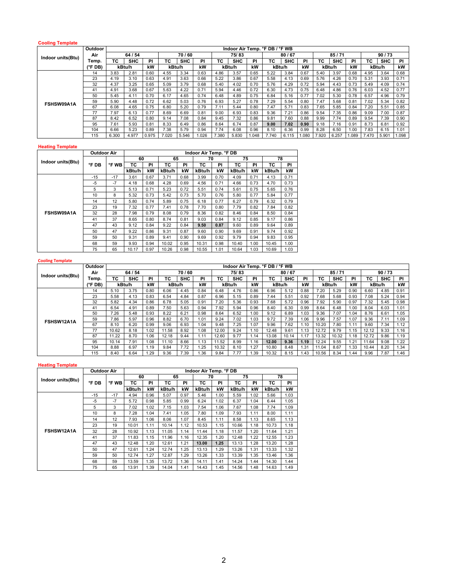### **Cooling Template**

|                   | <b>Outdoor</b> |       |            |           |        |            |       |       | Indoor Air Temp. °F DB / °F WB |       |       |            |       |       |            |      |       |            |       |
|-------------------|----------------|-------|------------|-----------|--------|------------|-------|-------|--------------------------------|-------|-------|------------|-------|-------|------------|------|-------|------------|-------|
|                   | Air            |       | 64 / 54    |           |        | 70/60      |       |       | 75/83                          |       |       | 80/67      |       |       | 85/71      |      |       | 90/73      |       |
| Indoor units(Btu) | Temp.          | ТC    | <b>SHC</b> | <b>PI</b> | ТC     | <b>SHC</b> | PI    | ТC    | <b>SHC</b>                     | PI    | ТC    | <b>SHC</b> | PI    | ТC    | <b>SHC</b> | PI   | ТC    | <b>SHC</b> | PI    |
|                   | (°F DB)        |       | kBtu/h     | kW        | kBtu/h |            | kW    |       | kBtu/h                         | kW    |       | kBtu/h     | kW    |       | kBtu/h     | kW   |       | kBtu/h     | kW    |
|                   | 14             | 3.83  | 2.81       | 0.60      | 4.55   | 3.34       | 0.63  | 4.86  | 3.57                           | 0.65  | 5.22  | 3.84       | 0.67  | 5.40  | 3.97       | 0.68 | 4.95  | 3.64       | 0.68  |
|                   | 23             | 4.19  | 3.10       | 0.63      | 4.91   | 3.63       | 0.66  | 5.22  | 3.86                           | 0.67  | 5.58  | 4.13       | 0.69  | 5.76  | 4.26       | 0.70 | 5.31  | 3.93       | 0.71  |
| FSHSW09A1A        | 32             | 4.37  | 3.25       | 0.65      | 5.09   | 3.79       | 0.68  | 5.40  | 4.02                           | 0.70  | 5.76  | 4.29       | 0.72  | 5.94  | 4.43       | 0.73 | 5.49  | 4.09       | 0.74  |
|                   | 41             | 4.91  | 3.68       | 0.67      | 5.63   | 4.22       | 0.71  | 5.94  | 4.46                           | 0.72  | 6.30  | 4.73       | 0.75  | 6.48  | 4.86       | 0.76 | 6.03  | 4.52       | 0.77  |
|                   | 50             | 5.45  | 4.11       | 0.70      | 6.17   | 4.65       | 0.74  | 6.48  | 4.89                           | 0.75  | 6.84  | 5.16       | 0.77  | 7.02  | 5.30       | 0.78 | 6.57  | 4.96       | 0.79  |
|                   | 59             | 5.90  | 4.48       | 0.72      | 6.62   | 5.03       | 0.76  | 6.93  | 5.27                           | 0.78  | 7.29  | 5.54       | 0.80  | 7.47  | 5.68       | 0.81 | 7.02  | 5.34       | 0.82  |
|                   | 67             | 6.08  | 4.65       | 0.75      | 6.80   | 5.20       | 0.79  | 7.11  | 5.44                           | 0.80  | 7.47  | 5.71       | 0.83  | 7.65  | 5.85       | 0.84 | 7.20  | 5.51       | 0.85  |
|                   | 77             | 7.97  | 6.13       | 0.77      | 8.69   | 6.69       | 0.81  | 9.00  | 6.93                           | 0.83  | 9.36  | 7.21       | 0.86  | 9.54  | 7.35       | 0.86 | 9.09  | 7.00       | 0.87  |
|                   | 87             | 8.42  | 6.52       | 0.80      | 9.14   | 7.08       | 0.84  | 9.45  | 7.32                           | 0.86  | 9.81  | 7.60       | 0.88  | 9.99  | 7.74       | 0.89 | 9.54  | 7.39       | 0.90  |
|                   | 95             | 7.61  | 5.93       | 0.81      | 8.33   | 6.49       | 0.86  | 8.64  | 6.74                           | 0.87  | 9.00  | 7.02       | 0.90  | 9.18  | 7.16       | 0.91 | 8.73  | 6.81       | 0.92  |
|                   | 104            | 6.66  | 5.23       | 0.89      | 7.38   | 5.79       | 0.94  | 7.74  | 6.08                           | 0.96  | 8.10  | 6.36       | 0.99  | 8.28  | 6.50       | 1.00 | 7.83  | 6.15       | 1.01  |
|                   | 115            | 6.300 | 4.977      | 0.975     | 7.020  | 5.546      | 1.026 | 7.380 | 5.830                          | 0.048 | 7.740 | 6.115      | 1.080 | 7.920 | 6.257      | .089 | 7.470 | 5.901      | 1.098 |

# **Heating Template**

|                   | <b>Outdoor Air</b> |       |        |      |        |      | Indoor Air Temp. °F DB |      |        |      |        |      |
|-------------------|--------------------|-------|--------|------|--------|------|------------------------|------|--------|------|--------|------|
| Indoor units(Btu) |                    |       | 60     |      | 65     |      | 70                     |      | 75     |      | 78     |      |
|                   | °F DB              | °F WB | тс     | PI   | тс     | PI   | тс                     | PI   | тс     | PI   | тс     | PI   |
|                   |                    |       | kBtu/h | kW   | kBtu/h | kW   | kBtu/h                 | kW   | kBtu/h | kW   | kBtu/h | kW   |
|                   | $-15$              | $-17$ | 3.61   | 0.67 | 3.71   | 0.68 | 3.99                   | 0.70 | 4.09   | 0.71 | 4.13   | 0.71 |
|                   | -5                 | $-7$  | 4.18   | 0.68 | 4.28   | 0.69 | 4.56                   | 0.71 | 4.66   | 0.73 | 4.70   | 0.73 |
|                   | 5                  | 3     | 5.13   | 0.71 | 5.23   | 0.72 | 5.51                   | 0.74 | 5.61   | 0.75 | 5.65   | 0.76 |
|                   | 10                 | 8     | 5.32   | 0.73 | 5.42   | 0.73 | 5.70                   | 0.76 | 5.80   | 0.77 | 5.84   | 0.77 |
|                   | 14                 | 12    | 5.80   | 0.74 | 5.89   | 0.75 | 6.18                   | 0.77 | 6.27   | 0.79 | 6.32   | 0.79 |
|                   | 23                 | 19    | 7.32   | 0.77 | 7.41   | 0.78 | 7.70                   | 0.80 | 7.79   | 0.82 | 7.84   | 0.82 |
| FSHSW09A1A        | 32                 | 28    | 7.98   | 0.79 | 8.08   | 0.79 | 8.36                   | 0.82 | 8.46   | 0.84 | 8.50   | 0.84 |
|                   | 41                 | 37    | 8.65   | 0.80 | 8.74   | 0.81 | 9.03                   | 0.84 | 9.12   | 0.85 | 9.17   | 0.86 |
|                   | 47                 | 43    | 9.12   | 0.84 | 9.22   | 0.84 | 9.50                   | 0.87 | 9.60   | 0.89 | 9.64   | 0.89 |
|                   | 50                 | 47    | 9.22   | 0.86 | 9.31   | 0.87 | 9.60                   | 0.90 | 9.69   | 0.91 | 9.74   | 0.92 |
|                   | 59                 | 50    | 9.31   | 0.89 | 9.41   | 0.90 | 9.69                   | 0.92 | 9.79   | 0.94 | 9.83   | 0.95 |
|                   | 68                 | 59    | 9.93   | 0.94 | 10.02  | 0.95 | 10.31                  | 0.98 | 10.40  | 1.00 | 10.45  | 1.00 |
|                   | 75                 | 65    | 10.17  | 0.97 | 10.26  | 0.98 | 10.55                  | 1.01 | 10.64  | 1.03 | 10.69  | 1.03 |

| <b>Cooling Template</b> |                  |       |            |           |        |            |      |       |            |      |                                |            |      |       |            |      |       |            |      |
|-------------------------|------------------|-------|------------|-----------|--------|------------|------|-------|------------|------|--------------------------------|------------|------|-------|------------|------|-------|------------|------|
|                         | Outdoor          |       |            |           |        |            |      |       |            |      | Indoor Air Temp. °F DB / °F WB |            |      |       |            |      |       |            |      |
| Indoor units(Btu)       | Air              |       | 64 / 54    |           |        | 70/60      |      |       | 75/83      |      |                                | 80/67      |      |       | 85/71      |      |       | 90/73      |      |
|                         | Temp.            | ТC    | <b>SHC</b> | <b>PI</b> | ТC     | <b>SHC</b> | PI   | TC    | <b>SHC</b> | PI   | ТC                             | <b>SHC</b> | PI   | ТC    | <b>SHC</b> | PI   | ТC    | <b>SHC</b> | PI   |
|                         | $(^{\circ}$ FDB) |       | kBtu/h     | kW        | kBtu/h |            | kW   |       | kBtu/h     | kW   | kBtu/h                         |            | kW   |       | kBtu/h     | kW   |       | kBtu/h     | kW   |
|                         | 14               | 5.10  | 3.75       | 0.80      | 6.06   | 4.45       | 0.84 | 6.48  | 4.76       | 0.86 | 6.96                           | 5.12       | 0.88 | 7.20  | 5.29       | 0.90 | 6.60  | 4.85       | 0.91 |
|                         | 23               | 5.58  | 4.13       | 0.83      | 6.54   | 4.84       | 0.87 | 6.96  | 5.15       | 0.89 | 7.44                           | 5.51       | 0.92 | 7.68  | 5.68       | 0.93 | 7.08  | 5.24       | 0.94 |
|                         | 32               | 5.82  | 4.34       | 0.86      | 6.78   | 5.05       | 0.91 | 7.20  | 5.36       | 0.93 | 7.68                           | 5.72       | 0.96 | 7.92  | 5.90       | 0.97 | 7.32  | 5.45       | 0.98 |
|                         | 41               | 6.54  | 4.91       | 0.89      | 7.50   | 5.63       | 0.94 | 7.92  | 5.94       | 0.96 | 8.40                           | 6.30       | 0.99 | 8.64  | 6.48       | 1.00 | 8.04  | 6.03       | 1.01 |
|                         | 50               | 7.26  | 5.48       | 0.93      | 8.22   | 6.21       | 0.98 | 8.64  | 6.52       | 1.00 | 9.12                           | 6.89       | 1.03 | 9.36  | 7.07       | 1.04 | 8.76  | 6.61       | 1.05 |
| FSHSW12A1A              | 59               | 7.86  | 5.97       | 0.96      | 8.82   | 6.70       | 1.01 | 9.24  | 7.02       | 1.03 | 9.72                           | 7.39       | 1.06 | 9.96  | 7.57       | 1.07 | 9.36  | 7.11       | 1.09 |
|                         | 67               | 8.10  | 6.20       | 0.99      | 9.06   | 6.93       | 1.04 | 9.48  | 7.25       | 1.07 | 9.96                           | 7.62       | 1.10 | 10.20 | 7.80       | 1.11 | 9.60  | 7.34       | 1.12 |
|                         | 77               | 10.62 | 8.18       | 1.02      | 11.58  | 8.92       | 1.08 | 12.00 | 9.24       | 1.10 | 12.48                          | 9.61       | 1.13 | 12.72 | 9.79       | 1.15 | 12.12 | 9.33       | 1.16 |
|                         | 87               | 11.22 | 8.70       | 1.06      | 12.18  | 9.44       | 1.11 | 12.60 | 9.77       | 1.14 | 13.08                          | 10.14      | 1.17 | 13.32 | 10.32      | 1.18 | 12.72 | 9.86       | 1.19 |
|                         | 95               | 10.14 | 7.91       | 1.08      | 11.10  | 8.66       | 1.13 | 11.52 | 8.99       | 1.16 | 12.00                          | 9.36       | 1.19 | 12.24 | 9.55       | 1.21 | 11.64 | 9.08       | 1.22 |
|                         | 104              | 8.88  | 6.97       | 1.19      | 9.84   | 7.72       | 1.25 | 10.32 | 8.10       | 1.27 | 10.80                          | 8.48       | 1.31 | 11.04 | 8.67       | 1.33 | 10.44 | 8.20       | 1.34 |
|                         | 115              | 8.40  | 6.64       | .29       | 9.36   | 7.39       | .36  | 9.84  | 7.77       | 1.39 | 10.32                          | 8.15       | 1.43 | 10.56 | 8.34       | 1.44 | 9.96  | 7.87       | 1.46 |

# **Heating Template**

|                   | <b>Outdoor Air</b> |       |        |      |        |      | Indoor Air Temp. °F DB |      |        |      |        |      |
|-------------------|--------------------|-------|--------|------|--------|------|------------------------|------|--------|------|--------|------|
| Indoor units(Btu) |                    |       | 60     |      | 65     |      | 70                     |      | 75     |      | 78     |      |
|                   | °F DB              | °F WB | тс     | PI   | тс     | PI   | тс                     | PI   | тс     | PI   | тс     | PI   |
|                   |                    |       | kBtu/h | kW   | kBtu/h | kW   | kBtu/h                 | kW   | kBtu/h | kW   | kBtu/h | kW   |
|                   | $-15$              | $-17$ | 4.94   | 0.96 | 5.07   | 0.97 | 5.46                   | 1.00 | 5.59   | 1.02 | 5.66   | 1.03 |
|                   | $-5$               | $-7$  | 5.72   | 0.98 | 5.85   | 0.99 | 6.24                   | 1.02 | 6.37   | 1.04 | 6.44   | 1.05 |
|                   | 5                  | 3     | 7.02   | 1.02 | 7.15   | 1.03 | 7.54                   | 1.06 | 7.67   | 1.08 | 7.74   | 1.09 |
|                   | 10                 | 8     | 7.28   | 1.04 | 7.41   | 1.05 | 7.80                   | 1.09 | 7.93   | 1.11 | 8.00   | 1.11 |
|                   | 14                 | 12    | 7.93   | 1.06 | 8.06   | 1.07 | 8.45                   | 1.11 | 8.58   | 1.13 | 8.65   | 1.13 |
|                   | 23                 | 19    | 10.01  | 1.11 | 10.14  | 1.12 | 10.53                  | 1.15 | 10.66  | 1.18 | 10.73  | 1.18 |
| FSHSW12A1A        | 32                 | 28    | 10.92  | 1.13 | 11.05  | 1.14 | 11.44                  | 1.18 | 11.57  | 1.20 | 11.64  | 1.21 |
|                   | 41                 | 37    | 11.83  | 1.15 | 11.96  | 1.16 | 12.35                  | 1.20 | 12.48  | 1.22 | 12.55  | 1.23 |
|                   | 47                 | 43    | 12.48  | 1.20 | 12.61  | 1.21 | 13.00                  | 1.25 | 13.13  | 1.28 | 13.20  | 1.28 |
|                   | 50                 | 47    | 12.61  | 1.24 | 12.74  | 1.25 | 13.13                  | 1.29 | 13.26  | 1.31 | 13.33  | 1.32 |
|                   | 59                 | 50    | 12.74  | 1.27 | 12.87  | 1.29 | 13.26                  | 1.33 | 13.39  | 1.35 | 13.46  | 1.36 |
|                   | 68                 | 59    | 13.59  | 1.35 | 13.72  | 1.36 | 14.11                  | 1.41 | 14.24  | 1.44 | 14.30  | 1.44 |
|                   | 75                 | 65    | 13.91  | 1.39 | 14.04  | 1.41 | 14.43                  | 1.45 | 14.56  | 1.48 | 14.63  | 1.49 |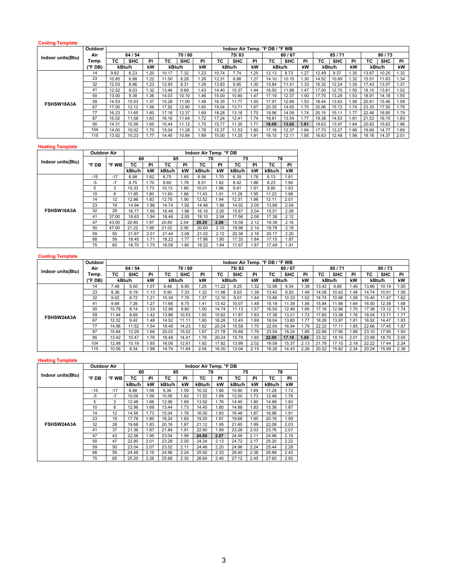### **Cooling Template**

|                   | <b>Outdoor</b>   |       |            |           |        |            |      |       | Indoor Air Temp. °F DB / °F WB |      |        |            |      |       |            |      |       |            |      |
|-------------------|------------------|-------|------------|-----------|--------|------------|------|-------|--------------------------------|------|--------|------------|------|-------|------------|------|-------|------------|------|
| Indoor units(Btu) | Air              |       | 64 / 54    |           |        | 70/60      |      |       | 75/83                          |      |        | 80/67      |      |       | 85/71      |      |       | 90/73      |      |
|                   | Temp.            | ТC    | <b>SHC</b> | <b>PI</b> | ТC     | <b>SHC</b> | PI   | ТC    | <b>SHC</b>                     | PI   | ТC     | <b>SHC</b> | PI   | ТC    | <b>SHC</b> | PI   | TC    | <b>SHC</b> | PI   |
|                   | $(^{\circ}$ FDB) |       | kBtu/h     | kW        | kBtu/h |            | kW   |       | kBtu/h                         | kW   | kBtu/h |            | kW   |       | kBtu/h     | kW   |       | kBtu/h     | kW   |
|                   | 14               | 9.82  | 6.23       | 1.20      | 10.17  | 7.32       | .23  | 10.74 | 7.74                           | .25  | 12.13  | 8.73       | 1.27 | 12.49 | 9.37       | 1.30 | 13.67 | 10.25      | 1.32 |
|                   | 23               | 10.85 | 6.88       | 1.22      | 11.50  | 8.28       | .26  | 12.31 | 8.86                           | 1.27 | 14.10  | 10.15      | .30  | 14.52 | 10.89      | 1.32 | 15.51 | 11.63      | 1.34 |
| FSHSW18A3A        | 32               | 12.03 | 8.86       | 1.23      | 12.93  | 9.31       | .29  | 13.83 | 9.95                           | 1.30 | 15.84  | 11.41      | 1.33 | 16.32 | 12.24      | 1.35 | 17.43 | 13.07      | 1.37 |
|                   | 41               | 12.52 | 9.03       | 1.32      | 13.46  | 9.69       | .43  | 14.40 | 10.37                          | 1.44 | 16.50  | 11.88      | 1.47 | 17.00 | 12.75      | 1.50 | 18.15 | 13.61      | 1.52 |
|                   | 50               | 13.00 | 9.38       | 1.36      | 14.03  | 10.10      | 1.46 | 15.00 | 10.80                          | 1.47 | 17.19  | 12.37      | .50  | 17.70 | 13.28      | 1.53 | 18.91 | 14.18      | 1.55 |
|                   | 59               | 14.53 | 10.53      | 1.37      | 15.28  | 11.00      | 1.48 | 16.35 | 11.77                          | 1.50 | 17.91  | 12.89      | 1.53 | 18.44 | 13.83      | 1.56 | 20.61 | 15.46      | 1.58 |
|                   | 67               | 17.00 | 12.12      | 1.56      | 17.92  | 12.90      | .65  | 19.04 | 13.71                          | 1.67 | 20.35  | 14.65      | 1.70 | 20.96 | 15.72      | 1.74 | 23.33 | 17.50      | 1.76 |
|                   | 77               | 16.23 | 11.65      | 1.60      | 17.18  | 12.37      | .69  | 18.28 | 13.16                          | 1.70 | 19.56  | 14.09      | 1.74 | 20.15 | 15.11      | 1.77 | 22.46 | 16.85      | 1.79 |
|                   | 87               | 15.02 | 11.08      | 1.63      | 16.16  | 11.64      | 1.72 | 17.24 | 12.41                          | 1.74 | 18.81  | 13.54      | 1.77 | 19.38 | 14.53      | 1.81 | 21.53 | 16.15      | 1.83 |
|                   | 95               | 14.31 | 10.56      | 1.65      | 15.44  | 11.12      | 1.75 | 15.77 | 11.35                          | 1.77 | 18.09  | 13.02      | 1.81 | 18.63 | 13.97      | 1.84 | 20.82 | 15.62      | 1.86 |
|                   | 104              | 14.00 | 10.02      | 1.70      | 15.04  | 11.28      | ı.78 | 15.37 | 11.53                          | 1.80 | 17.18  | 12.37      | 1.84 | 17.70 | 13.27      | 1.88 | 19.69 | 14.77      | 1.89 |
|                   | 115              | 13.52 | 10.23      | 1.77      | 14.45  | 10.84      | .89  | 15.00 | 11.25                          | . 91 | 16.15  | 12.11      | 1.95 | 16.63 | 12.48      | 99.، | 19.16 | 14.37      | 2.01 |

#### **Heating Template**

|                   | <b>Outdoor Air</b> |       |        |      |        |      | Indoor Air Temp. °F DB |      |        |      |        |      |
|-------------------|--------------------|-------|--------|------|--------|------|------------------------|------|--------|------|--------|------|
| Indoor units(Btu) |                    |       | 60     |      | 65     |      | 70                     |      | 75     |      | 78     |      |
|                   | °F DB              | °F WB | ТC     | PI   | ТC     | PI   | тс                     | PI   | тс     | PI   | тс     | PI   |
|                   |                    |       | kBtu/h | kW   | kBtu/h | kW   | kBtu/h                 | kW   | kBtu/h | kW   | kBtu/h | kW   |
|                   | $-15$              | $-17$ | 6.98   | 1.62 | 6.75   | 1.65 | 6.56                   | 1.70 | 6.39   | 1.78 | 6.13   | 1.81 |
|                   | $-5$               | $-7$  | 8.75   | 1.70 | 8.60   | 1.76 | 8.51                   | 1.82 | 8.42   | 1.86 | 8.23   | 1.90 |
|                   | 5                  | 3     | 10.33  | 1.73 | 10.13  | 1.80 | 10.01                  | 1.86 | 9.91   | 1.91 | 9.80   | 1.93 |
|                   | 10                 | 8     | 11.85  | 1.80 | 11.60  | 1.86 | 11.43                  | 1.91 | 11.28  | 1.95 | 11.23  | 1.98 |
|                   | 14                 | 12    | 12.96  | 1.83 | 12.75  | 1.90 | 12.52                  | 1.94 | 12.31  | 1.98 | 12.11  | 2.01 |
|                   | 23                 | 19    | 14.94  | 1.86 | 14.74  | 1.92 | 14.46                  | 1.96 | 14.02  | 2.00 | 13.88  | 2.04 |
| FSHSW18A3A        | 32                 | 28    | 16.77  | 1.90 | 16.48  | 1.96 | 16.16                  | 2.00 | 15.67  | 2.04 | 15.51  | 2.08 |
|                   | 41                 | 37.00 | 18.63  | 1.94 | 18.46  | 2.00 | 18.10                  | 2.04 | 17.56  | 2.08 | 17.38  | 2.12 |
|                   | 47                 | 43.00 | 20.80  | 1.97 | 20.60  | 2.04 | 20.20                  | 2.08 | 19.59  | 2.12 | 19.39  | 2.16 |
|                   | 50                 | 47.00 | 21.22  | 1.99 | 21.02  | 2.06 | 20.60                  | 2.10 | 19.98  | 2.14 | 19.78  | 2.18 |
|                   | 59                 | 50    | 21.67  | 2.01 | 21.44  | 2.08 | 21.02                  | 2.12 | 20.38  | 2.16 | 20.17  | 2.20 |
|                   | 68                 | 59    | 18.45  | 1.71 | 18.22  | 1.77 | 17.86                  | 1.80 | 17.33  | 1.84 | 17.15  | 1.87 |
|                   | 75                 | 65    | 18.70  | 1.75 | 18.58  | 1.80 | 18.22                  | 1.84 | 17.67  | 1.87 | 17.49  | 1.91 |

| <b>Cooling Template</b> |         |       |         |           |        |            |      |       |            |      |                                |            |      |       |            |      |       |            |      |
|-------------------------|---------|-------|---------|-----------|--------|------------|------|-------|------------|------|--------------------------------|------------|------|-------|------------|------|-------|------------|------|
|                         | Outdoor |       |         |           |        |            |      |       |            |      | Indoor Air Temp. °F DB / °F WB |            |      |       |            |      |       |            |      |
|                         | Air     |       | 64 / 54 |           |        | 70/60      |      |       | 75/83      |      |                                | 80/67      |      |       | 85/71      |      |       | 90/73      |      |
| Indoor units(Btu)       | Temp.   | ТC    | SHC     | <b>PI</b> | ТC     | <b>SHC</b> | PI   | ТC    | <b>SHC</b> | PI.  | ТC                             | <b>SHC</b> | PI   | ТC    | <b>SHC</b> | ΡI   | ТC    | <b>SHC</b> | PI   |
|                         | (°F DB) |       | kBtu/h  | kW        | kBtu/h |            | kW   |       | kBtu/h     | kW   | kBtu/h                         |            | kW   |       | kBtu/h     | kW   |       | kBtu/h     | kW   |
|                         | 14      | 7.48  | 5.50    | 1.07      | 9.46   | 6.95       | 1.25 | 11.22 | 8.25       | 1.32 | 12.98                          | 9.54       | 1.38 | 13.42 | 9.86       | 1.46 | 13.86 | 10.19      | 1.50 |
|                         | 23      | 8.36  | 6.19    | 1.13      | 9.90   | 7.33       | 1.32 | 11.66 | 8.63       | 1.39 | 13.42                          | 9.93       | .46  | 14.08 | 10.42      | 1.48 | 14.74 | 10.91      | 1.56 |
|                         | 32      | 9.02  | 6.72    | .21       | 10.34  | 7.70       | 1.37 | 12.10 | 9.01       | 1.44 | 13.86                          | 10.33      | .52  | 14.74 | 10.98      | .58  | 15.40 | 11.47      | 1.62 |
|                         | 41      | 9.68  | 7.26    | .27       | 11.66  | 8.75       | 1.41 | 13.42 | 10.07      | 1.48 | 15.18                          | 11.39      | .56  | 15.84 | 11.88      | 1.64 | 16.50 | 12.38      | 1.68 |
|                         | 50      | 10.78 | 8.14    | 1.33      | 12.98  | 9.80       | 1.50 | 14.74 | 11.13      | 1.57 | 16.50                          | 12.46      | .66  | 17.16 | 12.96      | 1.70 | 17.38 | 13.12      | 1.74 |
| FSHSW24A3A              | 59      | 11.44 | 8.69    | 1.42      | 13.86  | 10.53      | 1.55 | 15.62 | 11.87      | 1.63 | 17.38                          | 13.21      | 1.72 | 17.60 | 13.38      | 1.76 | 18.04 | 13.71      | 1.77 |
|                         | 67      | 12.32 | 9.42    | .48       | 14.52  | 11.11      | 1.60 | 16.28 | 12.45      | 1.69 | 18.04                          | 13.80      | 1.77 | 18.26 | 13.97      | 1.81 | 18.92 | 14.47      | 1.83 |
|                         | 77      | 14.96 | 11.52   | 1.54      | 18.48  | 14.23      | 1.62 | 20.24 | 15.58      | 1.70 | 22.00                          | 16.94      | 1.79 | 22.22 | 17.11      | 1.85 | 22.66 | 17.45      | 1.87 |
|                         | 87      | 15.84 | 12.28   | 1.66      | 20.02  | 15.52      | 1.67 | 21.78 | 16.88      | 1.76 | 23.54                          | 18.24      | 1.85 | 22.66 | 17.56      | 1.89 | 23.10 | 17.90      | 1.93 |
|                         | 95      | 13.42 | 10.47   | 1.76      | 18.48  | 14.41      | 1.76 | 20.24 | 15.79      | 1.85 | 22.00                          | 17.16      | 1.95 | 23.32 | 18.19      | 2.01 | 23.98 | 18.70      | 2.05 |
|                         | 104     | 12.98 | 10.19   | .85       | 16.06  | 12.61      | 1.92 | 17.82 | 13.99      | 2.02 | 19.58                          | 15.37      | 2.13 | 21.78 | 17.10      | 2.18 | 22.22 | 17.44      | 2.24 |
|                         | 115     | 10.56 | 8.34    | 1.99      | 14.74  | 11.64      | 2.04 | 16.50 | 13.04      | 2.15 | 18.26                          | 14.43      | 2.26 | 20.02 | 15.82      | 2.34 | 20.24 | 15.99      | 2.36 |

# **Heating Template**

|                   | <b>Outdoor Air</b> |       |        |      |        |      | Indoor Air Temp. °F DB |      |        |      |        |      |
|-------------------|--------------------|-------|--------|------|--------|------|------------------------|------|--------|------|--------|------|
| Indoor units(Btu) |                    |       | 60     |      | 65     |      | 70                     |      | 75     |      | 78     |      |
|                   | °F DB              | °F WB | тс     | PI   | тс     | PI   | ТC                     | PI   | ТC     | PI   | тс     | PI   |
|                   |                    |       | kBtu/h | kW   | kBtu/h | kW   | kBtu/h                 | kW   | kBtu/h | kW   | kBtu/h | kW   |
|                   | $-15$              | $-17$ | 8.88   | 1.56 | 9.36   | 1.59 | 10.32                  | 1.66 | 10.80  | 1.69 | 11.28  | 1.72 |
|                   | $-5$               | $-7$  | 10.08  | 1.59 | 10.56  | 1.62 | 11.52                  | 1.69 | 12.00  | 1.73 | 12.48  | 1.76 |
|                   | 5                  | 3     | 12.48  | 1.66 | 12.96  | 1.69 | 13.92                  | 1.76 | 14.40  | 1.80 | 14.88  | 1.83 |
|                   | 10                 | 8     | 12.96  | 1.69 | 13.44  | 1.73 | 14.40                  | 1.80 | 14.88  | 1.83 | 15.36  | 1.87 |
|                   | 14                 | 12    | 14.56  | 1.73 | 15.04  | 1.76 | 16.00                  | 1.83 | 16.48  | 1.87 | 16.96  | 1.91 |
|                   | 23                 | 19    | 17.76  | 1.80 | 18.24  | 1.83 | 19.20                  | 1.91 | 19.68  | 1.95 | 20.16  | 1.99 |
| FSHSW24A3A        | 32                 | 28    | 19.68  | 1.83 | 20.16  | 1.87 | 21.12                  | 1.95 | 21.60  | 1.99 | 22.08  | 2.03 |
|                   | 41                 | 37    | 21.36  | 1.87 | 21.84  | 1.91 | 22.80                  | 1.99 | 23.28  | 2.03 | 23.76  | 2.07 |
|                   | 47                 | 43    | 22.56  | 1.95 | 23.04  | 1.99 | 24.00                  | 2.07 | 24.48  | 2.11 | 24.96  | 2.15 |
|                   | 50                 | 47    | 22.80  | 2.01 | 23.28  | 2.05 | 24.24                  | 2.13 | 24.72  | 2.17 | 25.20  | 2.22 |
|                   | 59                 | 50    | 23.04  | 2.07 | 23.52  | 2.11 | 24.48                  | 2.20 | 24.96  | 2.24 | 25.44  | 2.28 |
|                   | 68                 | 59    | 24.48  | 2.19 | 24.96  | 2.24 | 25.92                  | 2.33 | 26.40  | 2.38 | 26.88  | 2.42 |
|                   | 75                 | 65    | 25.20  | 2.26 | 25.68  | 2.30 | 26.64                  | 2.40 | 27.12  | 2.45 | 27.60  | 2.50 |